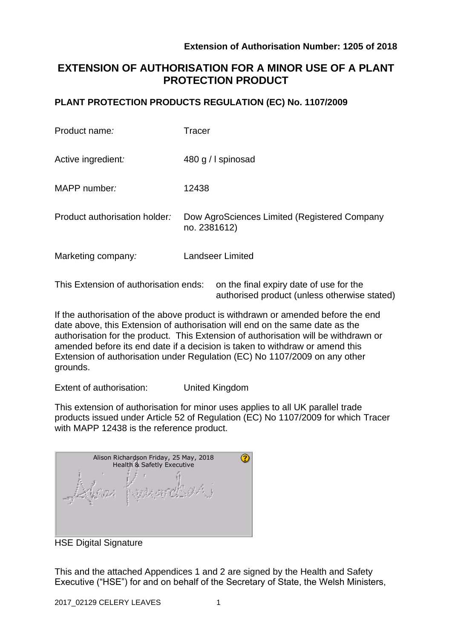authorised product (unless otherwise stated)

# **EXTENSION OF AUTHORISATION FOR A MINOR USE OF A PLANT PROTECTION PRODUCT**

### **PLANT PROTECTION PRODUCTS REGULATION (EC) No. 1107/2009**

| Product name:                         | <b>Tracer</b>                                                |
|---------------------------------------|--------------------------------------------------------------|
| Active ingredient:                    | 480 g / I spinosad                                           |
| MAPP number:                          | 12438                                                        |
| Product authorisation holder:         | Dow AgroSciences Limited (Registered Company<br>no. 2381612) |
| Marketing company:                    | <b>Landseer Limited</b>                                      |
| This Extension of authorisation ends: | on the final expiry date of use for the                      |

If the authorisation of the above product is withdrawn or amended before the end date above, this Extension of authorisation will end on the same date as the authorisation for the product. This Extension of authorisation will be withdrawn or amended before its end date if a decision is taken to withdraw or amend this Extension of authorisation under Regulation (EC) No 1107/2009 on any other grounds.

Extent of authorisation: United Kingdom

This extension of authorisation for minor uses applies to all UK parallel trade products issued under Article 52 of Regulation (EC) No 1107/2009 for which Tracer with MAPP 12438 is the reference product.

| Alison Richardson Friday, 25 May, 2018<br>Health & Safetly Executive |  |
|----------------------------------------------------------------------|--|
|                                                                      |  |

HSE Digital Signature

This and the attached Appendices 1 and 2 are signed by the Health and Safety Executive ("HSE") for and on behalf of the Secretary of State, the Welsh Ministers,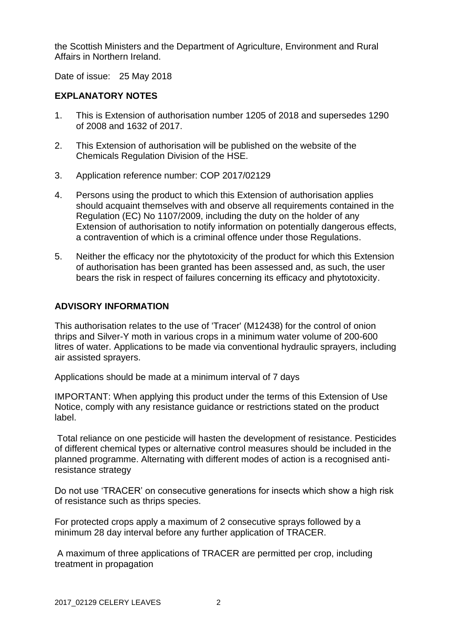the Scottish Ministers and the Department of Agriculture, Environment and Rural Affairs in Northern Ireland.

Date of issue: 25 May 2018

### **EXPLANATORY NOTES**

- 1. This is Extension of authorisation number 1205 of 2018 and supersedes 1290 of 2008 and 1632 of 2017.
- 2. This Extension of authorisation will be published on the website of the Chemicals Regulation Division of the HSE.
- 3. Application reference number: COP 2017/02129
- 4. Persons using the product to which this Extension of authorisation applies should acquaint themselves with and observe all requirements contained in the Regulation (EC) No 1107/2009, including the duty on the holder of any Extension of authorisation to notify information on potentially dangerous effects, a contravention of which is a criminal offence under those Regulations.
- 5. Neither the efficacy nor the phytotoxicity of the product for which this Extension of authorisation has been granted has been assessed and, as such, the user bears the risk in respect of failures concerning its efficacy and phytotoxicity.

### **ADVISORY INFORMATION**

This authorisation relates to the use of 'Tracer' (M12438) for the control of onion thrips and Silver-Y moth in various crops in a minimum water volume of 200-600 litres of water. Applications to be made via conventional hydraulic sprayers, including air assisted sprayers.

Applications should be made at a minimum interval of 7 days

IMPORTANT: When applying this product under the terms of this Extension of Use Notice, comply with any resistance guidance or restrictions stated on the product label.

Total reliance on one pesticide will hasten the development of resistance. Pesticides of different chemical types or alternative control measures should be included in the planned programme. Alternating with different modes of action is a recognised antiresistance strategy

Do not use 'TRACER' on consecutive generations for insects which show a high risk of resistance such as thrips species.

For protected crops apply a maximum of 2 consecutive sprays followed by a minimum 28 day interval before any further application of TRACER.

A maximum of three applications of TRACER are permitted per crop, including treatment in propagation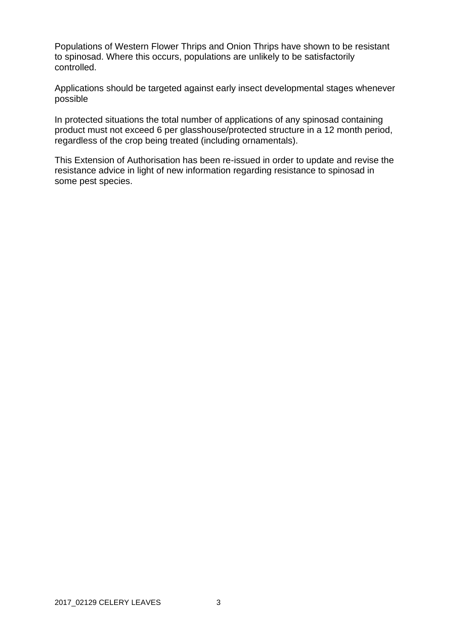Populations of Western Flower Thrips and Onion Thrips have shown to be resistant to spinosad. Where this occurs, populations are unlikely to be satisfactorily controlled.

Applications should be targeted against early insect developmental stages whenever possible

In protected situations the total number of applications of any spinosad containing product must not exceed 6 per glasshouse/protected structure in a 12 month period, regardless of the crop being treated (including ornamentals).

This Extension of Authorisation has been re-issued in order to update and revise the resistance advice in light of new information regarding resistance to spinosad in some pest species.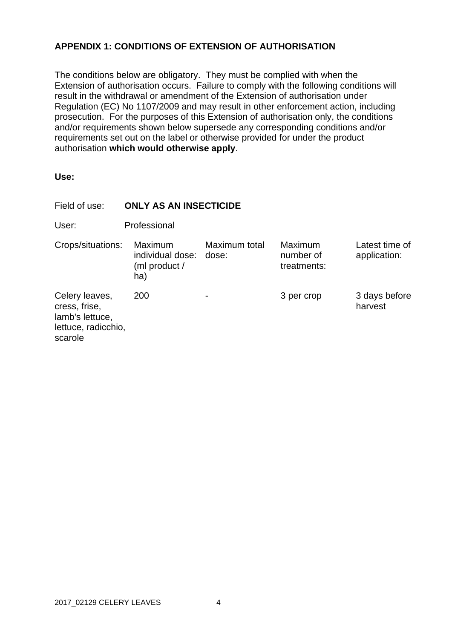## **APPENDIX 1: CONDITIONS OF EXTENSION OF AUTHORISATION**

The conditions below are obligatory. They must be complied with when the Extension of authorisation occurs. Failure to comply with the following conditions will result in the withdrawal or amendment of the Extension of authorisation under Regulation (EC) No 1107/2009 and may result in other enforcement action, including prosecution. For the purposes of this Extension of authorisation only, the conditions and/or requirements shown below supersede any corresponding conditions and/or requirements set out on the label or otherwise provided for under the product authorisation **which would otherwise apply**.

| Field of use:                                                                        | <b>ONLY AS AN INSECTICIDE</b>                       |                        |                                     |                                |
|--------------------------------------------------------------------------------------|-----------------------------------------------------|------------------------|-------------------------------------|--------------------------------|
| User:                                                                                | Professional                                        |                        |                                     |                                |
| Crops/situations:                                                                    | Maximum<br>individual dose:<br>(ml product /<br>ha) | Maximum total<br>dose: | Maximum<br>number of<br>treatments: | Latest time of<br>application: |
| Celery leaves,<br>cress, frise,<br>lamb's lettuce,<br>lettuce, radicchio,<br>scarole | 200                                                 |                        | 3 per crop                          | 3 days before<br>harvest       |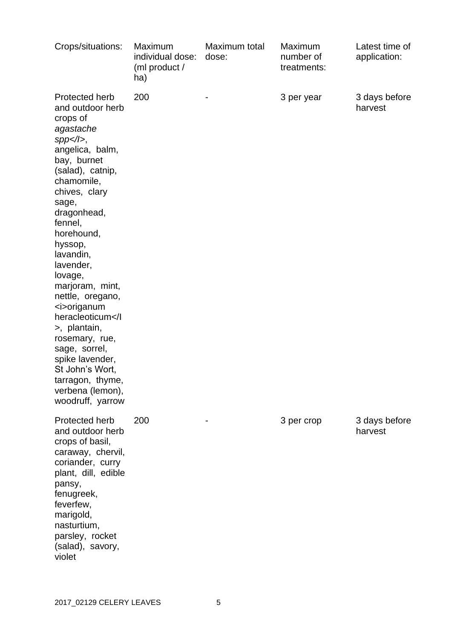| Crops/situations:                                                                                                                                                                                                                                                                                                                                                                                                                                                                                     | Maximum<br>individual dose:<br>(ml product /<br>ha) | Maximum total<br>dose: | Maximum<br>number of<br>treatments: | Latest time of<br>application: |
|-------------------------------------------------------------------------------------------------------------------------------------------------------------------------------------------------------------------------------------------------------------------------------------------------------------------------------------------------------------------------------------------------------------------------------------------------------------------------------------------------------|-----------------------------------------------------|------------------------|-------------------------------------|--------------------------------|
| Protected herb<br>and outdoor herb<br>crops of<br>agastache<br>$spp<1$ ,<br>angelica, balm,<br>bay, burnet<br>(salad), catnip,<br>chamomile,<br>chives, clary<br>sage,<br>dragonhead,<br>fennel,<br>horehound,<br>hyssop,<br>lavandin,<br>lavender,<br>lovage,<br>marjoram, mint,<br>nettle, oregano,<br><i>origanum<br/>heracleoticum&gt;, plantain,<br/>rosemary, rue,<br/>sage, sorrel,<br/>spike lavender,<br/>St John's Wort,<br/>tarragon, thyme,<br/>verbena (lemon),<br/>woodruff, yarrow</i> | 200                                                 |                        | 3 per year                          | 3 days before<br>harvest       |
| Protected herb<br>and outdoor herb<br>crops of basil,<br>caraway, chervil,<br>coriander, curry<br>plant, dill, edible<br>pansy,<br>fenugreek,<br>feverfew,<br>marigold,<br>nasturtium,<br>parsley, rocket<br>(salad), savory,<br>violet                                                                                                                                                                                                                                                               | 200                                                 |                        | 3 per crop                          | 3 days before<br>harvest       |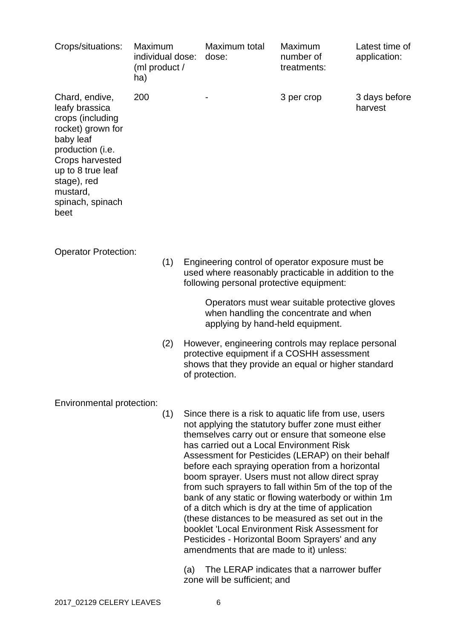| Crops/situations:                                                                                                                                                                                         | Maximum<br>individual dose:<br>(ml product /<br>ha) | Maximum total<br>dose: | Maximum<br>number of<br>treatments: | Latest time of<br>application: |
|-----------------------------------------------------------------------------------------------------------------------------------------------------------------------------------------------------------|-----------------------------------------------------|------------------------|-------------------------------------|--------------------------------|
| Chard, endive,<br>leafy brassica<br>crops (including<br>rocket) grown for<br>baby leaf<br>production (i.e.<br>Crops harvested<br>up to 8 true leaf<br>stage), red<br>mustard,<br>spinach, spinach<br>beet | 200                                                 |                        | 3 per crop                          | 3 days before<br>harvest       |

Operator Protection:

(1) Engineering control of operator exposure must be used where reasonably practicable in addition to the following personal protective equipment:

> Operators must wear suitable protective gloves when handling the concentrate and when applying by hand-held equipment.

(2) However, engineering controls may replace personal protective equipment if a COSHH assessment shows that they provide an equal or higher standard of protection.

Environmental protection:

(1) Since there is a risk to aquatic life from use, users not applying the statutory buffer zone must either themselves carry out or ensure that someone else has carried out a Local Environment Risk Assessment for Pesticides (LERAP) on their behalf before each spraying operation from a horizontal boom sprayer. Users must not allow direct spray from such sprayers to fall within 5m of the top of the bank of any static or flowing waterbody or within 1m of a ditch which is dry at the time of application (these distances to be measured as set out in the booklet 'Local Environment Risk Assessment for Pesticides - Horizontal Boom Sprayers' and any amendments that are made to it) unless:

(a) The LERAP indicates that a narrower buffer zone will be sufficient; and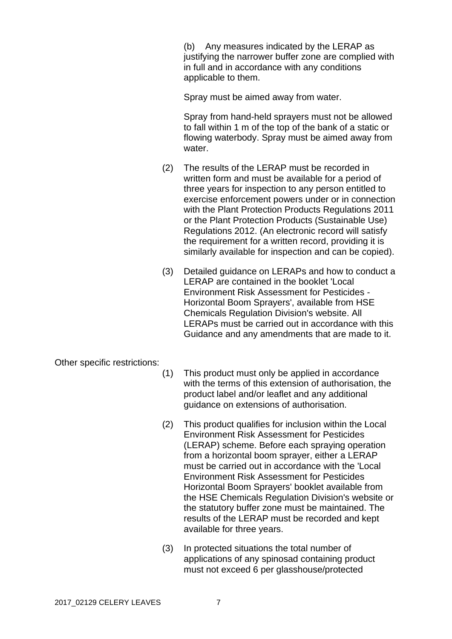(b) Any measures indicated by the LERAP as justifying the narrower buffer zone are complied with in full and in accordance with any conditions applicable to them.

Spray must be aimed away from water.

Spray from hand-held sprayers must not be allowed to fall within 1 m of the top of the bank of a static or flowing waterbody. Spray must be aimed away from water.

- (2) The results of the LERAP must be recorded in written form and must be available for a period of three years for inspection to any person entitled to exercise enforcement powers under or in connection with the Plant Protection Products Regulations 2011 or the Plant Protection Products (Sustainable Use) Regulations 2012. (An electronic record will satisfy the requirement for a written record, providing it is similarly available for inspection and can be copied).
- (3) Detailed guidance on LERAPs and how to conduct a LERAP are contained in the booklet 'Local Environment Risk Assessment for Pesticides - Horizontal Boom Sprayers', available from HSE Chemicals Regulation Division's website. All LERAPs must be carried out in accordance with this Guidance and any amendments that are made to it.

Other specific restrictions:

- (1) This product must only be applied in accordance with the terms of this extension of authorisation, the product label and/or leaflet and any additional guidance on extensions of authorisation.
- (2) This product qualifies for inclusion within the Local Environment Risk Assessment for Pesticides (LERAP) scheme. Before each spraying operation from a horizontal boom sprayer, either a LERAP must be carried out in accordance with the 'Local Environment Risk Assessment for Pesticides Horizontal Boom Sprayers' booklet available from the HSE Chemicals Regulation Division's website or the statutory buffer zone must be maintained. The results of the LERAP must be recorded and kept available for three years.
- (3) In protected situations the total number of applications of any spinosad containing product must not exceed 6 per glasshouse/protected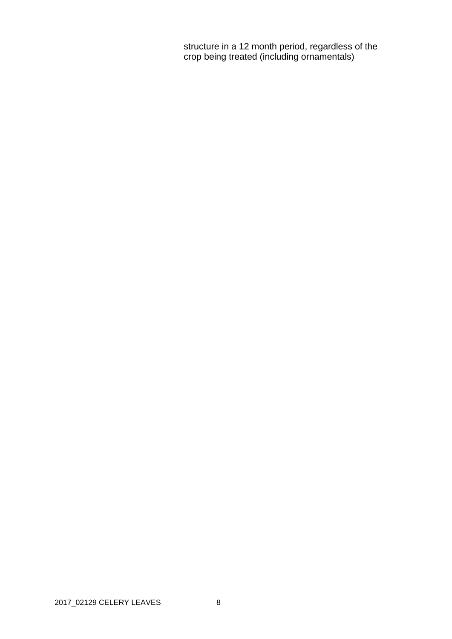structure in a 12 month period, regardless of the crop being treated (including ornamentals)